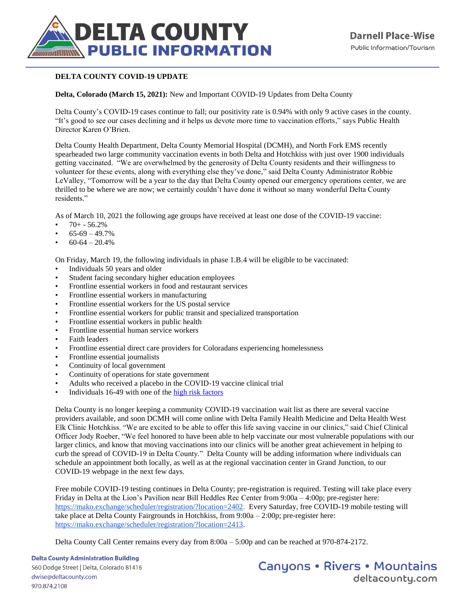

## **DELTA COUNTY COVID-19 UPDATE**

## **Delta, Colorado (March 15, 2021):** New and Important COVID-19 Updates from Delta County

Delta County's COVID-19 cases continue to fall; our positivity rate is 0.94% with only 9 active cases in the county. "It's good to see our cases declining and it helps us devote more time to vaccination efforts," says Public Health Director Karen O'Brien.

Delta County Health Department, Delta County Memorial Hospital (DCMH), and North Fork EMS recently spearheaded two large community vaccination events in both Delta and Hotchkiss with just over 1900 individuals getting vaccinated. "We are overwhelmed by the generosity of Delta County residents and their willingness to volunteer for these events, along with everything else they've done," said Delta County Administrator Robbie LeValley, "Tomorrow will be a year to the day that Delta County opened our emergency operations center, we are thrilled to be where we are now; we certainly couldn't have done it without so many wonderful Delta County residents."

As of March 10, 2021 the following age groups have received at least one dose of the COVID-19 vaccine:

- $70+ 56.2%$
- $65-69-49.7%$
- $60-64-20.4%$

On Friday, March 19, the following individuals in phase 1.B.4 will be eligible to be vaccinated:

- Individuals 50 years and older
- Student facing secondary higher education employees
- Frontline essential workers in food and restaurant services
- Frontline essential workers in manufacturing
- Frontline essential workers for the US postal service
- Frontline essential workers for public transit and specialized transportation
- Frontline essential workers in public health
- Frontline essential human service workers
- Faith leaders
- Frontline essential direct care providers for Coloradans experiencing homelessness
- Frontline essential journalists
- Continuity of local government
- Continuity of operations for state government
- Adults who received a placebo in the COVID-19 vaccine clinical trial
- Individuals 16-49 with one of the [high risk factors](https://covid19.colorado.gov/for-coloradans/vaccine/find-out-when-youre-eligible-for-a-covid-19-vaccine)

Delta County is no longer keeping a community COVID-19 vaccination wait list as there are several vaccine providers available, and soon DCMH will come online with Delta Family Health Medicine and Delta Health West Elk Clinic Hotchkiss. "We are excited to be able to offer this life saving vaccine in our clinics," said Chief Clinical Officer Jody Roeber, "We feel honored to have been able to help vaccinate our most vulnerable populations with our larger clinics, and know that moving vaccinations into our clinics will be another great achievement in helping to curb the spread of COVID-19 in Delta County." Delta County will be adding information where individuals can schedule an appointment both locally, as well as at the regional vaccination center in Grand Junction, to our COVID-19 webpage in the next few days.

Free mobile COVID-19 testing continues in Delta County; pre-registration is required. Testing will take place every Friday in Delta at the Lion's Pavilion near Bill Heddles Rec Center from 9:00a – 4:00p; pre-register here: [https://mako.exchange/scheduler/registration/?location=2402.](https://mako.exchange/scheduler/registration/?location=2402) Every Saturday, free COVID-19 mobile testing will take place at Delta County Fairgrounds in Hotchkiss, from 9:00a – 2:00p; pre-register here: [https://mako.exchange/scheduler/registration/?location=2413.](https://mako.exchange/scheduler/registration/?location=2413)

Delta County Call Center remains every day from 8:00a – 5:00p and can be reached at 970-874-2172.

**Delta County Administration Building** 560 Dodge Street | Delta, Colorado 81416 dwise@deltacounty.com

970.874.2108

**Canyons • Rivers • Mountains** deltacountu.com